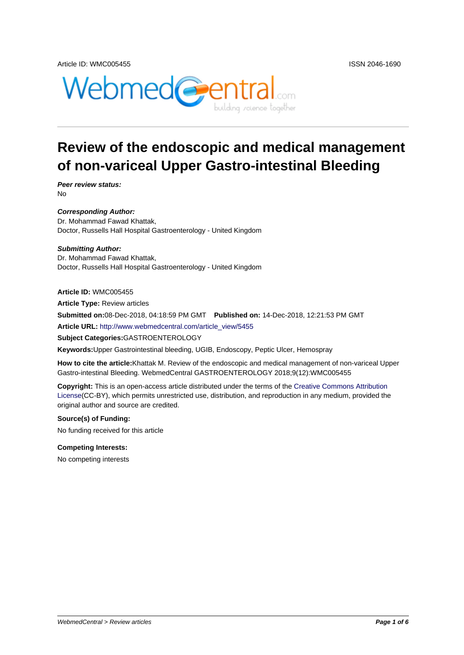



# **Review of the endoscopic and medical management of non-variceal Upper Gastro-intestinal Bleeding**

**Peer review status:** No

**Corresponding Author:** Dr. Mohammad Fawad Khattak, Doctor, Russells Hall Hospital Gastroenterology - United Kingdom

**Submitting Author:** Dr. Mohammad Fawad Khattak, Doctor, Russells Hall Hospital Gastroenterology - United Kingdom

**Article ID:** WMC005455 **Article Type:** Review articles **Submitted on:**08-Dec-2018, 04:18:59 PM GMT **Published on:** 14-Dec-2018, 12:21:53 PM GMT **Article URL:** http://www.webmedcentral.com/article\_view/5455

**Subject Categories:**GASTROENTEROLOGY

**Keywords:**Upper Gastrointestinal bleeding, UGIB, Endoscopy, Peptic Ulcer, Hemospray

**How to cite the article:**[Khattak M. Review of the endoscopic a](http://www.webmedcentral.com/article_view/5455)nd medical management of non-variceal Upper Gastro-intestinal Bleeding. WebmedCentral GASTROENTEROLOGY 2018;9(12):WMC005455

**Copyright:** This is an open-access article distributed under the terms of the Creative Commons Attribution License(CC-BY), which permits unrestricted use, distribution, and reproduction in any medium, provided the original author and source are credited.

#### **Source(s) of Funding:**

[No fund](http://creativecommons.org/licenses/by/3.0/)ing received for this article

#### **Competing Interests:**

No competing interests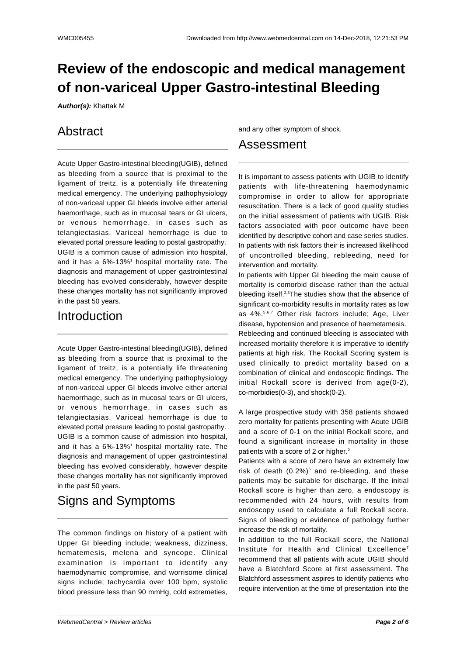# **Review of the endoscopic and medical management of non-variceal Upper Gastro-intestinal Bleeding**

**Author(s):** Khattak M

### Abstract

Acute Upper Gastro-intestinal bleeding(UGIB), defined as bleeding from a source that is proximal to the ligament of treitz, is a potentially life threatening medical emergency. The underlying pathophysiology of non-variceal upper GI bleeds involve either arterial haemorrhage, such as in mucosal tears or GI ulcers, or venous hemorrhage, in cases such as telangiectasias. Variceal hemorrhage is due to elevated portal pressure leading to postal gastropathy. UGIB is a common cause of admission into hospital, and it has a  $6\%$ -13%<sup>1</sup> hospital mortality rate. The diagnosis and management of upper gastrointestinal bleeding has evolved considerably, however despite these changes mortality has not significantly improved in the past 50 years.

### Introduction

Acute Upper Gastro-intestinal bleeding(UGIB), defined as bleeding from a source that is proximal to the ligament of treitz, is a potentially life threatening medical emergency. The underlying pathophysiology of non-variceal upper GI bleeds involve either arterial haemorrhage, such as in mucosal tears or GI ulcers. or venous hemorrhage, in cases such as telangiectasias. Variceal hemorrhage is due to elevated portal pressure leading to postal gastropathy. UGIB is a common cause of admission into hospital, and it has a 6%-13%<sup>1</sup> hospital mortality rate. The diagnosis and management of upper gastrointestinal bleeding has evolved considerably, however despite these changes mortality has not significantly improved in the past 50 years.

### Signs and Symptoms

The common findings on history of a patient with Upper GI bleeding include; weakness, dizziness, hematemesis, melena and syncope. Clinical examination is important to identify any haemodynamic compromise, and worrisome clinical signs include; tachycardia over 100 bpm, systolic blood pressure less than 90 mmHg, cold extremeties,

and any other symptom of shock.

### Assessment

It is important to assess patients with UGIB to identify patients with life-threatening haemodynamic compromise in order to allow for appropriate resuscitation. There is a lack of good quality studies on the initial assessment of patients with UGIB. Risk factors associated with poor outcome have been identified by descriptive cohort and case series studies. In patients with risk factors their is increased likelihood of uncontrolled bleeding, rebleeding, need for intervention and mortality.

In patients with Upper GI bleeding the main cause of mortality is comorbid disease rather than the actual bleeding itself.2,3The studies show that the absence of significant co-morbidity results in mortality rates as low as 4%.5,6,7 Other risk factors include; Age, Liver disease, hypotension and presence of haemetamesis. Rebleeding and continued bleeding is associated with increased mortality therefore it is imperative to identify patients at high risk. The Rockall Scoring system is used clinically to predict mortality based on a combination of clinical and endoscopic findings. The initial Rockall score is derived from age(0-2), co-morbidies(0-3), and shock(0-2).

A large prospective study with 358 patients showed zero mortality for patients presenting with Acute UGIB and a score of 0-1 on the initial Rockall score, and found a significant increase in mortality in those patients with a score of 2 or higher.<sup>5</sup>

Patients with a score of zero have an extremely low risk of death  $(0.2\%)^5$  and re-bleeding, and these patients may be suitable for discharge. If the initial Rockall score is higher than zero, a endoscopy is recommended with 24 hours, with results from endoscopy used to calculate a full Rockall score. Signs of bleeding or evidence of pathology further increase the risk of mortality.

In addition to the full Rockall score, the National Institute for Health and Clinical Excellence<sup>7</sup> recommend that all patients with acute UGIB should have a Blatchford Score at first assessment. The Blatchford assessment aspires to identify patients who require intervention at the time of presentation into the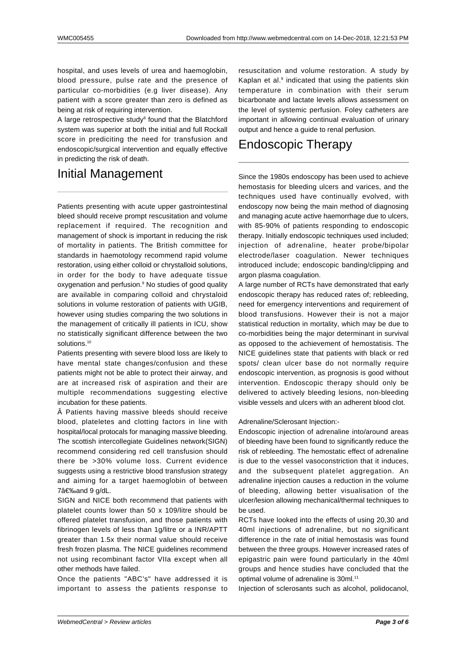hospital, and uses levels of urea and haemoglobin, blood pressure, pulse rate and the presence of particular co-morbidities (e.g liver disease). Any patient with a score greater than zero is defined as being at risk of requiring intervention.

A large retrospective study<sup>8</sup> found that the Blatchford system was superior at both the initial and full Rockall score in prediciting the need for transfusion and endoscopic/surgical intervention and equally effective in predicting the risk of death.

## Initial Management

Patients presenting with acute upper gastrointestinal bleed should receive prompt rescusitation and volume replacement if required. The recognition and management of shock is important in reducing the risk of mortality in patients. The British committee for standards in haemotology recommend rapid volume restoration, using either colloid or chrystalloid solutions, in order for the body to have adequate tissue oxygenation and perfusion.<sup>9</sup> No studies of good quality are available in comparing colloid and chrystaloid solutions in volume restoration of patients with UGIB, however using studies comparing the two solutions in the management of critically ill patients in ICU, show no statistically significant difference between the two solutions.<sup>10</sup>

Patients presenting with severe blood loss are likely to have mental state changes/confusion and these patients might not be able to protect their airway, and are at increased risk of aspiration and their are multiple recommendations suggesting elective incubation for these patients.

 Patients having massive bleeds should receive blood, plateletes and clotting factors in line with hospital/local protocals for managing massive bleeding. The scottish intercollegiate Guidelines network(SIGN) recommend considering red cell transfusion should there be >30% volume loss. Current evidence suggests using a restrictive blood transfusion strategy and aiming for a target haemoglobin of between 7 and 9 g/dL.

SIGN and NICE both recommend that patients with platelet counts lower than 50 x 109/litre should be offered platelet transfusion, and those patients with fibrinogen levels of less than 1g/litre or a INR/APTT greater than 1.5x their normal value should receive fresh frozen plasma. The NICE guidelines recommend not using recombinant factor VIIa except when all other methods have failed.

Once the patients "ABC's" have addressed it is important to assess the patients response to resuscitation and volume restoration. A study by Kaplan et al.<sup>9</sup> indicated that using the patients skin temperature in combination with their serum bicarbonate and lactate levels allows assessment on the level of systemic perfusion. Foley catheters are important in allowing continual evaluation of urinary output and hence a guide to renal perfusion.

## Endoscopic Therapy

Since the 1980s endoscopy has been used to achieve hemostasis for bleeding ulcers and varices, and the techniques used have continually evolved, with endoscopy now being the main method of diagnosing and managing acute active haemorrhage due to ulcers, with 85-90% of patients responding to endoscopic therapy. Initially endoscopic techniques used included; injection of adrenaline, heater probe/bipolar electrode/laser coagulation. Newer techniques introduced include; endoscopic banding/clipping and argon plasma coagulation.

A large number of RCTs have demonstrated that early endoscopic therapy has reduced rates of; rebleeding, need for emergency interventions and requirement of blood transfusions. However their is not a major statistical reduction in mortality, which may be due to co-morbidities being the major determinant in survival as opposed to the achievement of hemostatisis. The NICE guidelines state that patients with black or red spots/ clean ulcer base do not normally require endoscopic intervention, as prognosis is good without intervention. Endoscopic therapy should only be delivered to actively bleeding lesions, non-bleeding visible vessels and ulcers with an adherent blood clot.

Adrenaline/Sclerosant Injection:-

Endoscopic injection of adrenaline into/around areas of bleeding have been found to significantly reduce the risk of rebleeding. The hemostatic effect of adrenaline is due to the vessel vasoconstriction that it induces, and the subsequent platelet aggregation. An adrenaline injection causes a reduction in the volume of bleeding, allowing better visualisation of the ulcer/lesion allowing mechanical/thermal techniques to be used.

RCTs have looked into the effects of using 20,30 and 40ml injections of adrenaline, but no significant difference in the rate of initial hemostasis was found between the three groups. However increased rates of epigastric pain were found particularly in the 40ml groups and hence studies have concluded that the optimal volume of adrenaline is 30ml.<sup>11</sup>

Injection of sclerosants such as alcohol, polidocanol,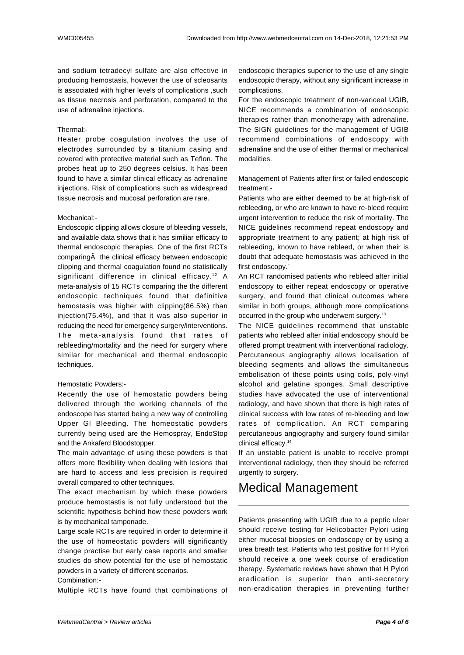and sodium tetradecyl sulfate are also effective in producing hemostasis, however the use of scleosants is associated with higher levels of complications ,such as tissue necrosis and perforation, compared to the use of adrenaline injections.

#### Thermal:-

Heater probe coagulation involves the use of electrodes surrounded by a titanium casing and covered with protective material such as Teflon. The probes heat up to 250 degrees celsius. It has been found to have a similar clinical efficacy as adrenaline injections. Risk of complications such as widespread tissue necrosis and mucosal perforation are rare.

#### Mechanical:-

Endoscopic clipping allows closure of bleeding vessels, and available data shows that it has similiar efficacy to thermal endoscopic therapies. One of the first RCTs comparing A the clinical efficacy between endoscopic clipping and thermal coagulation found no statistically significant difference in clinical efficacy.<sup>12</sup> A meta-analysis of 15 RCTs comparing the the different endoscopic techniques found that definitive hemostasis was higher with clipping(86.5%) than injection(75.4%), and that it was also superior in reducing the need for emergency surgery/interventions. The meta-analysis found that rates of rebleeding/mortality and the need for surgery where similar for mechanical and thermal endoscopic techniques.

#### Hemostatic Powders:-

Recently the use of hemostatic powders being delivered through the working channels of the endoscope has started being a new way of controlling Upper GI Bleeding. The homeostatic powders currently being used are the Hemospray, EndoStop and the Ankaferd Bloodstopper.

The main advantage of using these powders is that offers more flexibility when dealing with lesions that are hard to access and less precision is required overall compared to other techniques.

The exact mechanism by which these powders produce hemostastis is not fully understood but the scientific hypothesis behind how these powders work is by mechanical tamponade.

Large scale RCTs are required in order to determine if the use of homeostatic powders will significantly change practise but early case reports and smaller studies do show potential for the use of hemostatic powders in a variety of different scenarios. Combination:-

Multiple RCTs have found that combinations of

endoscopic therapies superior to the use of any single endoscopic therapy, without any significant increase in complications.

For the endoscopic treatment of non-variceal UGIB, NICE recommends a combination of endoscopic therapies rather than monotherapy with adrenaline. The SIGN guidelines for the management of UGIB recommend combinations of endoscopy with adrenaline and the use of either thermal or mechanical modalities.

Management of Patients after first or failed endoscopic treatment:-

Patients who are either deemed to be at high-risk of rebleeding, or who are known to have re-bleed require urgent intervention to reduce the risk of mortality. The NICE guidelines recommend repeat endoscopy and appropriate treatment to any patient; at high risk of rebleeding, known to have rebleed, or when their is doubt that adequate hemostasis was achieved in the first endoscopy.`

An RCT randomised patients who rebleed after initial endoscopy to either repeat endoscopy or operative surgery, and found that clinical outcomes where similar in both groups, although more complications occurred in the group who underwent surgery.<sup>13</sup>

The NICE quidelines recommend that unstable patients who rebleed after initial endoscopy should be offered prompt treatment with interventional radiology. Percutaneous angiography allows localisation of bleeding segments and allows the simultaneous embolisation of these points using coils, poly-vinyl alcohol and gelatine sponges. Small descriptive studies have advocated the use of interventional radiology, and have shown that there is high rates of clinical success with low rates of re-bleeding and low rates of complication. An RCT comparing percutaneous angiography and surgery found similar clinical efficacy.<sup>14</sup>

If an unstable patient is unable to receive prompt interventional radiology, then they should be referred urgently to surgery.

### Medical Management

Patients presenting with UGIB due to a peptic ulcer should receive testing for Helicobacter Pylori using either mucosal biopsies on endoscopy or by using a urea breath test. Patients who test positive for H Pylori should receive a one week course of eradication therapy. Systematic reviews have shown that H Pylori eradication is superior than anti-secretory non-eradication therapies in preventing further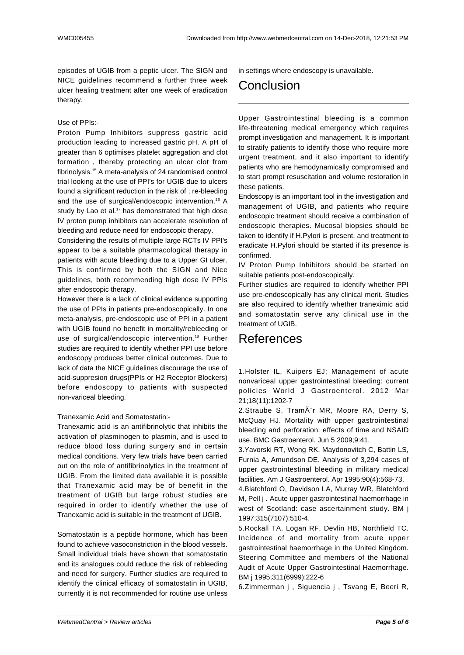episodes of UGIB from a peptic ulcer. The SIGN and NICE guidelines recommend a further three week ulcer healing treatment after one week of eradication therapy.

#### Use of PPIs:-

Proton Pump Inhibitors suppress gastric acid production leading to increased gastric pH. A pH of greater than 6 optimises platelet aggregation and clot formation , thereby protecting an ulcer clot from fibrinolysis.<sup>15</sup> A meta-analysis of 24 randomised control trial looking at the use of PPI's for UGIB due to ulcers found a significant reduction in the risk of ; re-bleeding and the use of surgical/endoscopic intervention.<sup>16</sup> A study by Lao et al.<sup>17</sup> has demonstrated that high dose IV proton pump inhibitors can accelerate resolution of bleeding and reduce need for endoscopic therapy.

Considering the results of multiple large RCTs IV PPI's appear to be a suitable pharmacological therapy in patients with acute bleeding due to a Upper GI ulcer. This is confirmed by both the SIGN and Nice guidelines, both recommending high dose IV PPIs after endoscopic therapy.

However there is a lack of clinical evidence supporting the use of PPIs in patients pre-endoscopically. In one meta-analysis, pre-endoscopic use of PPI in a patient with UGIB found no benefit in mortality/rebleeding or use of surgical/endoscopic intervention.<sup>18</sup> Further studies are required to identify whether PPI use before endoscopy produces better clinical outcomes. Due to lack of data the NICE guidelines discourage the use of acid-suppresion drugs(PPIs or H2 Receptor Blockers) before endoscopy to patients with suspected non-variceal bleeding.

Tranexamic Acid and Somatostatin:-

Tranexamic acid is an antifibrinolytic that inhibits the activation of plasminogen to plasmin, and is used to reduce blood loss during surgery and in certain medical conditions. Very few trials have been carried out on the role of antifibrinolytics in the treatment of UGIB. From the limited data available it is possible that Tranexamic acid may be of benefit in the treatment of UGIB but large robust studies are required in order to identify whether the use of Tranexamic acid is suitable in the treatment of UGIB.

Somatostatin is a peptide hormone, which has been found to achieve vasoconstriction in the blood vessels. Small individual trials have shown that somatostatin and its analogues could reduce the risk of rebleeding and need for surgery. Further studies are required to identify the clinical efficacy of somatostatin in UGIB, currently it is not recommended for routine use unless in settings where endoscopy is unavailable.

## Conclusion

Upper Gastrointestinal bleeding is a common life-threatening medical emergency which requires prompt investigation and management. It is important to stratify patients to identify those who require more urgent treatment, and it also important to identify patients who are hemodynamically compromised and to start prompt resuscitation and volume restoration in these patients.

Endoscopy is an important tool in the investigation and management of UGIB, and patients who require endoscopic treatment should receive a combination of endoscopic therapies. Mucosal biopsies should be taken to identify if H.Pylori is present, and treatment to eradicate H.Pylori should be started if its presence is confirmed.

IV Proton Pump Inhibitors should be started on suitable patients post-endoscopically.

Further studies are required to identify whether PPI use pre-endoscopically has any clinical merit. Studies are also required to identify whether traneximic acid and somatostatin serve any clinical use in the treatment of UGIB.

### References

1.Holster IL, Kuipers EJ; Management of acute nonvariceal upper gastrointestinal bleeding: current policies World J Gastroenterol. 2012 Mar 21;18(11):1202-7

2.Straube S, TramÂ<sup>"</sup>r MR, Moore RA, Derry S, McQuay HJ. Mortality with upper gastrointestinal bleeding and perforation: effects of time and NSAID use. BMC Gastroenterol. Jun 5 2009;9:41.

3.Yavorski RT, Wong RK, Maydonovitch C, Battin LS, Furnia A, Amundson DE. Analysis of 3,294 cases of upper gastrointestinal bleeding in military medical facilities. Am J Gastroenterol. Apr 1995;90(4):568-73.

4.Blatchford O, Davidson LA, Murray WR, Blatchford M, Pell j . Acute upper gastrointestinal haemorrhage in west of Scotland: case ascertainment study. BM j 1997;315(7107):510-4.

5.Rockall TA, Logan RF, Devlin HB, Northfield TC. Incidence of and mortality from acute upper gastrointestinal haemorrhage in the United Kingdom. Steering Committee and members of the National Audit of Acute Upper Gastrointestinal Haemorrhage. BM j 1995;311(6999):222-6

6.Zimmerman j , Siguencia j , Tsvang E, Beeri R,